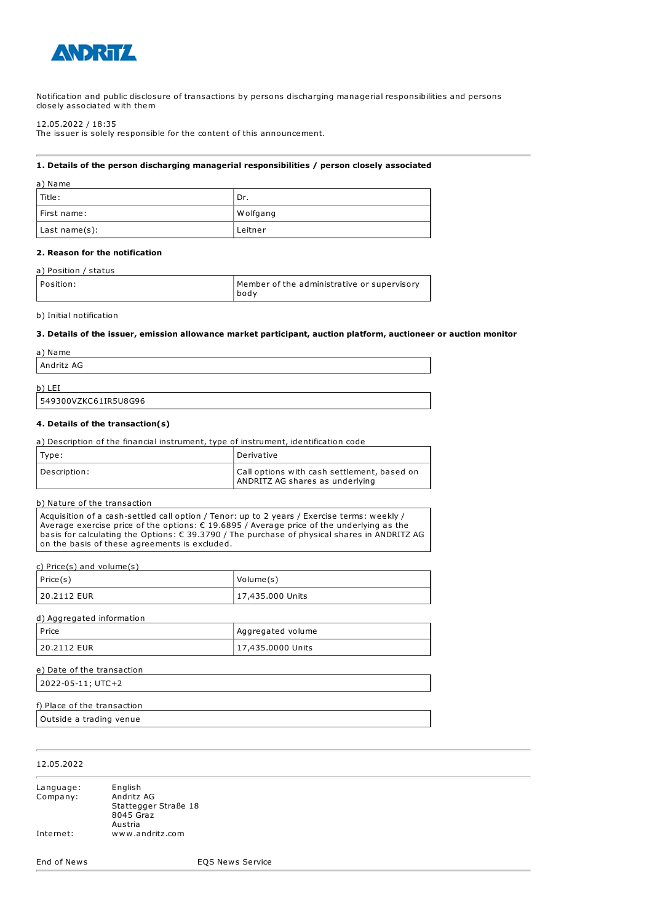

Notification and public disclosure of transactions by persons discharging managerial responsibilities and persons closely associated with them

12.05.2022 / 18:35

The issuer is solely responsible for the content of this announcement.

### **1. Details of the person discharging managerial responsibilities / person closely associated**

| a) Name       |           |
|---------------|-----------|
| l Title :     | ' Dr.     |
| First name:   | W olfgang |
| Last name(s): | Leitner   |

### **2. Reason for the notification**

### a) Position / status

| Position: | Member of the administrative or supervisory<br>bodv |
|-----------|-----------------------------------------------------|
|-----------|-----------------------------------------------------|

### b) Initial notification

#### **3. Details of the issuer, emission allowance market participant, auction platform, auctioneer or auction monitor**

| a) Name    |  |  |
|------------|--|--|
| Andritz AG |  |  |
| b)<br>LEI  |  |  |

# 549300VZKC61IR5U8G96

### **4. Details of the transaction(s)**

| a) Description of the financial instrument, type of instrument, identification code |                                                                                |
|-------------------------------------------------------------------------------------|--------------------------------------------------------------------------------|
| Type:                                                                               | Derivative                                                                     |
| Description:                                                                        | Call options with cash settlement, based on<br>ANDRITZ AG shares as underlying |

### b) Nature of the transaction

Acquisition of a cash-settled call option / Tenor: up to 2 years / Exercise terms: weekly / Average exercise price of the options: € 19.6895 / Average price of the underlying as the basis for calculating the Options: € 39.3790 / The purchase of physical shares in ANDRITZ AG on the basis of these agreements is excluded.

c) Price(s) and volume(s)

| $ $ Price(s) | Volume(s)        |
|--------------|------------------|
| 120.2112 EUR | 17,435.000 Units |

| d) Aggregated information |                   |
|---------------------------|-------------------|
| l Price                   | Aggregated volume |
| 20.2112 EUR               | 17,435.0000 Units |

| e) Date of the transaction |  |  |
|----------------------------|--|--|
| 2022-05-11; UTC+2          |  |  |
|                            |  |  |

## f) Place of the transaction

Outside a trading venue

### 12.05.2022

| Language: | English              |
|-----------|----------------------|
| Company:  | Andritz AG           |
|           | Stattegger Straße 18 |
|           | 8045 Graz            |
|           | Austria              |
| Internet: | www.andritz.com      |

End of News EQS News Service